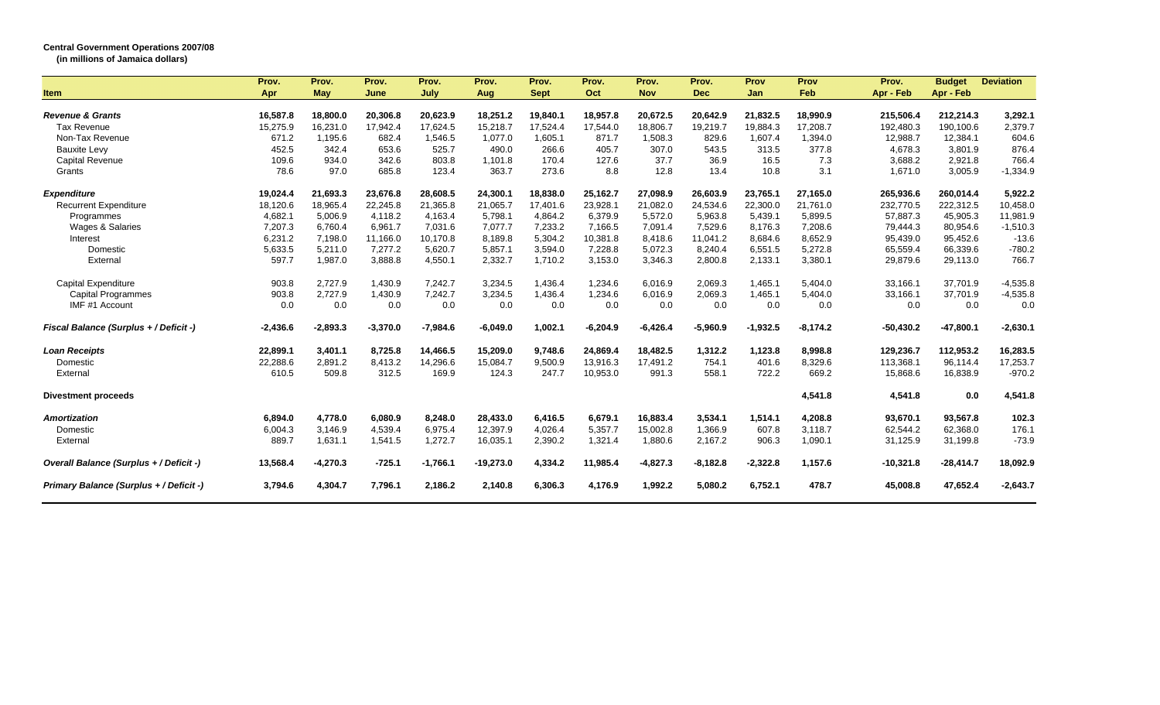## **Central Government Operations 2007/08**

**(in millions of Jamaica dollars)**

|                                               | Prov.          | Prov.      | Prov.      | Prov.      | Prov.       | Prov.       | Prov.          | Prov.            | Prov.      | Prov       | Prov             | Prov.       | <b>Budget</b> | <b>Deviation</b> |
|-----------------------------------------------|----------------|------------|------------|------------|-------------|-------------|----------------|------------------|------------|------------|------------------|-------------|---------------|------------------|
| <b>Item</b>                                   | Apr            | May        | June       | July       | Aug         | <b>Sept</b> | Oct            | <b>Nov</b>       | <b>Dec</b> | Jan        | Feb              | Apr - Feb   | Apr - Feb     |                  |
|                                               |                |            |            |            |             |             |                |                  |            |            |                  |             |               |                  |
| <b>Revenue &amp; Grants</b>                   | 16,587.8       | 18,800.0   | 20,306.8   | 20,623.9   | 18,251.2    | 19,840.1    | 18,957.8       | 20,672.5         | 20,642.9   | 21,832.5   | 18,990.9         | 215,506.4   | 212,214.3     | 3,292.1          |
| <b>Tax Revenue</b>                            | 15,275.9       | 16,231.0   | 17,942.4   | 17,624.5   | 15,218.7    | 17,524.4    | 17,544.0       | 18,806.7         | 19,219.7   | 19,884.3   | 17,208.7         | 192,480.3   | 190,100.6     | 2,379.7          |
| Non-Tax Revenue                               | 671.2<br>452.5 | 1,195.6    | 682.4      | 1,546.5    | 1,077.0     | 1,605.1     | 871.7          | 1,508.3<br>307.0 | 829.6      | 1,607.4    | 1,394.0<br>377.8 | 12,988.7    | 12,384.1      | 604.6            |
| <b>Bauxite Levy</b>                           |                | 342.4      | 653.6      | 525.7      | 490.0       | 266.6       | 405.7<br>127.6 |                  | 543.5      | 313.5      |                  | 4,678.3     | 3,801.9       | 876.4            |
| <b>Capital Revenue</b>                        | 109.6          | 934.0      | 342.6      | 803.8      | 1,101.8     | 170.4       |                | 37.7             | 36.9       | 16.5       | 7.3              | 3,688.2     | 2,921.8       | 766.4            |
| Grants                                        | 78.6           | 97.0       | 685.8      | 123.4      | 363.7       | 273.6       | 8.8            | 12.8             | 13.4       | 10.8       | 3.1              | 1,671.0     | 3,005.9       | $-1,334.9$       |
| <b>Expenditure</b>                            | 19,024.4       | 21,693.3   | 23,676.8   | 28,608.5   | 24,300.1    | 18.838.0    | 25.162.7       | 27.098.9         | 26,603.9   | 23.765.1   | 27.165.0         | 265,936.6   | 260.014.4     | 5.922.2          |
| <b>Recurrent Expenditure</b>                  | 18,120.6       | 18,965.4   | 22,245.8   | 21,365.8   | 21,065.7    | 17,401.6    | 23,928.1       | 21,082.0         | 24,534.6   | 22,300.0   | 21,761.0         | 232,770.5   | 222,312.5     | 10,458.0         |
| Programmes                                    | 4,682.1        | 5,006.9    | 4,118.2    | 4,163.4    | 5,798.1     | 4,864.2     | 6,379.9        | 5,572.0          | 5,963.8    | 5,439.1    | 5,899.5          | 57,887.3    | 45,905.3      | 11,981.9         |
| Wages & Salaries                              | 7,207.3        | 6,760.4    | 6,961.7    | 7,031.6    | 7,077.7     | 7,233.2     | 7.166.5        | 7,091.4          | 7,529.6    | 8,176.3    | 7,208.6          | 79,444.3    | 80,954.6      | $-1,510.3$       |
| Interest                                      | 6,231.2        | 7,198.0    | 11,166.0   | 10,170.8   | 8,189.8     | 5,304.2     | 10.381.8       | 8.418.6          | 11,041.2   | 8,684.6    | 8,652.9          | 95,439.0    | 95,452.6      | $-13.6$          |
| Domestic                                      | 5,633.5        | 5,211.0    | 7,277.2    | 5,620.7    | 5,857.1     | 3,594.0     | 7,228.8        | 5,072.3          | 8,240.4    | 6,551.5    | 5,272.8          | 65,559.4    | 66,339.6      | $-780.2$         |
| External                                      | 597.7          | 1.987.0    | 3,888.8    | 4,550.1    | 2,332.7     | 1,710.2     | 3,153.0        | 3,346.3          | 2,800.8    | 2,133.1    | 3,380.1          | 29,879.6    | 29,113.0      | 766.7            |
| <b>Capital Expenditure</b>                    | 903.8          | 2,727.9    | 1,430.9    | 7,242.7    | 3,234.5     | 1,436.4     | 1,234.6        | 6,016.9          | 2,069.3    | 1,465.1    | 5,404.0          | 33,166.1    | 37,701.9      | $-4,535.8$       |
| <b>Capital Programmes</b>                     | 903.8          | 2,727.9    | 1,430.9    | 7,242.7    | 3,234.5     | 1,436.4     | 1.234.6        | 6.016.9          | 2.069.3    | 1.465.1    | 5,404.0          | 33.166.1    | 37,701.9      | $-4,535.8$       |
| IMF #1 Account                                | 0.0            | 0.0        | 0.0        | 0.0        | 0.0         | 0.0         | 0.0            | 0.0              | 0.0        | 0.0        | 0.0              | 0.0         | 0.0           | 0.0              |
| <b>Fiscal Balance (Surplus + / Deficit -)</b> | $-2,436.6$     | $-2,893.3$ | $-3,370.0$ | $-7,984.6$ | $-6,049.0$  | 1,002.1     | $-6,204.9$     | $-6,426.4$       | $-5,960.9$ | $-1,932.5$ | $-8,174.2$       | $-50,430.2$ | $-47,800.1$   | $-2,630.1$       |
| <b>Loan Receipts</b>                          | 22,899.1       | 3,401.1    | 8,725.8    | 14,466.5   | 15,209.0    | 9,748.6     | 24,869.4       | 18,482.5         | 1,312.2    | 1,123.8    | 8,998.8          | 129,236.7   | 112,953.2     | 16,283.5         |
| Domestic                                      | 22,288.6       | 2,891.2    | 8,413.2    | 14,296.6   | 15,084.7    | 9,500.9     | 13,916.3       | 17,491.2         | 754.1      | 401.6      | 8,329.6          | 113,368.1   | 96.114.4      | 17,253.7         |
| External                                      | 610.5          | 509.8      | 312.5      | 169.9      | 124.3       | 247.7       | 10,953.0       | 991.3            | 558.1      | 722.2      | 669.2            | 15,868.6    | 16,838.9      | $-970.2$         |
| <b>Divestment proceeds</b>                    |                |            |            |            |             |             |                |                  |            |            | 4,541.8          | 4,541.8     | 0.0           | 4,541.8          |
| <b>Amortization</b>                           | 6,894.0        | 4,778.0    | 6,080.9    | 8,248.0    | 28,433.0    | 6,416.5     | 6,679.1        | 16,883.4         | 3,534.1    | 1,514.1    | 4,208.8          | 93,670.1    | 93,567.8      | 102.3            |
| Domestic                                      | 6,004.3        | 3,146.9    | 4,539.4    | 6,975.4    | 12,397.9    | 4,026.4     | 5,357.7        | 15,002.8         | 1,366.9    | 607.8      | 3,118.7          | 62,544.2    | 62,368.0      | 176.1            |
| External                                      | 889.7          | 1,631.1    | 1,541.5    | 1,272.7    | 16,035.1    | 2,390.2     | 1,321.4        | 1,880.6          | 2,167.2    | 906.3      | 1,090.1          | 31,125.9    | 31,199.8      | $-73.9$          |
| Overall Balance (Surplus + / Deficit -)       | 13,568.4       | $-4,270.3$ | $-725.1$   | $-1,766.1$ | $-19,273.0$ | 4,334.2     | 11,985.4       | $-4,827.3$       | $-8,182.8$ | $-2,322.8$ | 1,157.6          | $-10,321.8$ | $-28,414.7$   | 18,092.9         |
| Primary Balance (Surplus + / Deficit -)       | 3,794.6        | 4,304.7    | 7,796.1    | 2,186.2    | 2,140.8     | 6,306.3     | 4,176.9        | 1,992.2          | 5,080.2    | 6,752.1    | 478.7            | 45,008.8    | 47,652.4      | $-2,643.7$       |